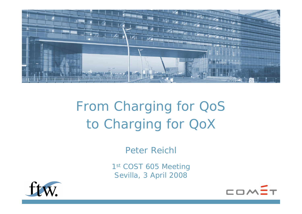

# From Charging for QoS to Charging for QoX

*Peter Reichl*

1st COST 605 Meeting Sevilla, 3 April 2008



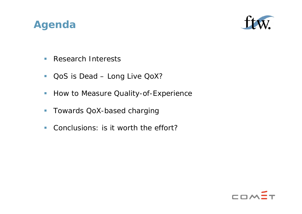#### **Agenda**



- $\mathcal{L}_{\mathcal{A}}$ ■ Research Interests
- $\overline{\mathcal{A}}$ QoS is Dead – Long Live QoX?
- $\mathcal{L}_{\mathcal{A}}$ How to Measure Quality-of-Experience
- $\mathcal{L}_{\mathcal{A}}$ Towards QoX-based charging
- $\mathcal{L}_{\mathcal{A}}$ Conclusions: is it worth the effort?

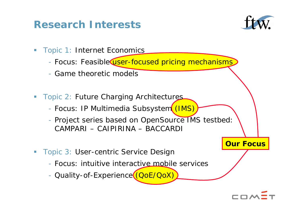### **Research Interests**



- $\mathcal{L}_{\mathcal{A}}$  Topic 1: Internet Economics
	- Focus: Feasible<del>@user-focused pricing mechanisms</del>
	- Game theoretic models
- $\overline{\phantom{a}}$  Topic 2: Future Charging Architectures
	- Focus: IP Multimedia Subsystem<mark>((IMS)</mark>
	- Project series based on OpenSource IMS testbed: CAMPARI – CAIPIRINA – BACCARDI
- Topic 3: User-centric Service Design
	- Focus: intuitive interactive mobile services
	- Quality-of-Experience (QoE/QoX)



**Our Focus**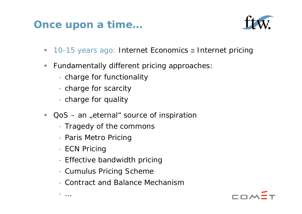#### **Once upon a time…**



- 10-15 years ago: Internet Economics ≅ Internet pricing
- $\mathcal{L}_{\mathcal{A}}$  Fundamentally different pricing approaches:
	- charge for functionality
	- charge for scarcity
	- charge for quality
- $\Box$  $QoS - an$  "eternal" source of inspiration
	- Tragedy of the commons
	- Paris Metro Pricing
	- ECN Pricing

…

- Effective bandwidth pricing
- Cumulus Pricing Scheme
- Contract and Balance Mechanism

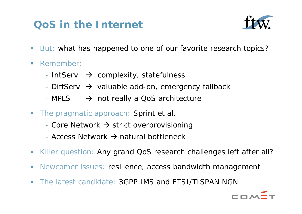## **QoS in the Internet**



- $\mathcal{C}$ But: what has happened to one of our favorite research topics?
- $\Box$  Remember:
	- IntServ  $\rightarrow$  complexity, statefulness
	- DiffServ  $\rightarrow$  valuable add-on, emergency fallback
	- MPLS  $\longrightarrow$  not really a QoS architecture
- $\overline{\phantom{a}}$ The pragmatic approach: Sprint et al.
	- Core Network  $\rightarrow$  strict overprovisioning
	- Access Network  $\rightarrow$  natural bottleneck
- $\overline{\phantom{a}}$ Killer question: Any grand QoS research challenges left after all?
- $\mathbb{R}^n$ Newcomer issues: resilience, access bandwidth management
- $\Box$ The latest candidate: 3GPP IMS and ETSI/TISPAN NGN

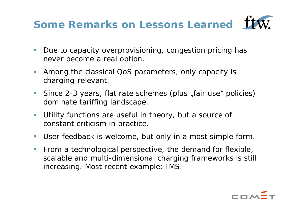## **Some Remarks on Lessons Learned**

- $\mathcal{L}^{\mathcal{L}}$  Due to capacity overprovisioning, congestion pricing has never become a real option.
- $\mathcal{L}_{\mathcal{A}}$  Among the classical QoS parameters, only capacity is charging-relevant.
- $\mathcal{L}_{\mathcal{A}}$ Since 2-3 years, flat rate schemes (plus "fair use" policies) dominate tariffing landscape.
- $\mathcal{L}_{\mathcal{A}}$  Utility functions are useful in theory, but a source of constant criticism in practice.
- $\mathcal{L}_{\mathcal{A}}$ User feedback is welcome, but only in a most simple form.
- $\mathcal{L}_{\mathcal{A}}$  From a technological perspective, the demand for flexible, scalable and multi-dimensional charging frameworks is still increasing. Most recent example: IMS.

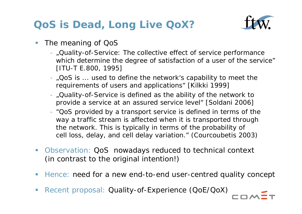## **QoS is Dead, Long Live QoX?**



- The meaning of QoS
	- "Quality-of-Service: The collective effect of service performance which determine the degree of satisfaction of a user of the service" [ITU-T E.800, 1995]
	- "QoS is ... used to define the network's capability to meet the requirements of users and applications" [Kilkki 1999]
	- "Quality-of-Service is defined as the ability of the network to provide a service at an assured service level" [Soldani 2006]
	- "QoS provided by a transport service is defined in terms of the way a traffic stream is affected when it is transported through the network. This is typically in terms of the probability of cell loss, delay, and cell delay variation." (Courcoubetis 2003)
- Observation: QoS nowadays reduced to technical context (in contrast to the original intention!)
- Ξ Hence: need for a new end-to-end user-centred quality concept
- Ξ Recent proposal: Quality-of-Experience (QoE/QoX)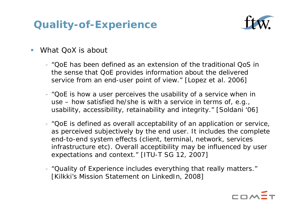## **Quality-of-Experience**



- Ξ What QoX is about
	- "QoE has been defined as an extension of the traditional QoS in the sense that QoE provides information about the delivered service from an end-user point of view." [Lopez et al. 2006]
	- "QoE is how a user perceives the usability of a service when in use – how satisfied he/she is with a service in terms of, e.g., usability, accessibility, retainability and integrity." [Soldani '06]
	- "QoE is defined as overall acceptability of an application or service, as perceived subjectively by the end user. It includes the complete end-to-end system effects (client, terminal, network, services infrastructure etc). Overall acceptibility may be influenced by user expectations and context." [ITU-T SG 12, 2007]
	- "Quality of Experience includes everything that really matters." [Kilkki's Mission Statement on LinkedIn, 2008]

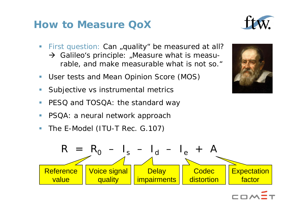#### **How to Measure QoX**

- Г First question: Can ,quality be measured at all?  $\rightarrow$  Galileo's principle: "Measure what is measurable, and make measurable what is not so."
- Г User tests and Mean Opinion Score (MOS)
- Г Subjective vs instrumental metrics
- Г PESQ and TOSQA: the standard way
- PSQA: a neural network approach
- The E-Model (ITU-T Rec. G.107)





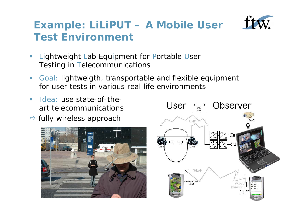

## **Example: LiLiPUT – A Mobile User Test Environment**

- $\overline{\phantom{0}}$ **Example 11 Lab Equipment for Portable User** Testing in Telecommunications
- $\overline{\phantom{a}}$  Goal: lightweigth, transportable and flexible equipment for user tests in various real life environments
- $\mathcal{L}_{\mathcal{A}}$  Idea: use state-of-theart telecommunications
- $\Rightarrow$  fully wireless approach



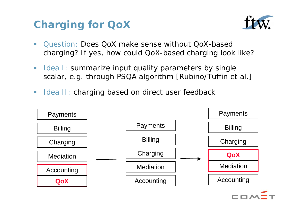## **Charging for QoX**



- $\blacksquare$  Question: Does QoX make sense without QoX-basedcharging? If yes, how could QoX-based charging look like?
- $\overline{\phantom{a}}$ Idea I: summarize input quality parameters by single scalar, e.g. through PSQA algorithm [Rubino/Tuffin et al.]
- $\Box$ Idea II: charging based on direct user feedback

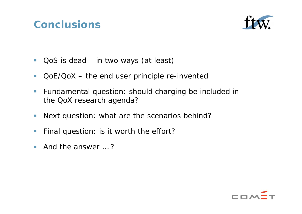#### **Conclusions**



- $\mathbb{R}^2$ QoS is dead – in two ways (at least)
- $\overline{\phantom{a}}$ QoE/QoX – the end user principle re-invented
- $\mathcal{L}_{\mathcal{A}}$  Fundamental question: should charging be included in the QoX research agenda?
- $\Box$ Next question: what are the scenarios behind?
- $\mathbb{R}^3$ Final question: is it worth the effort?
- $\mathbb{R}^3$ And the answer … ?